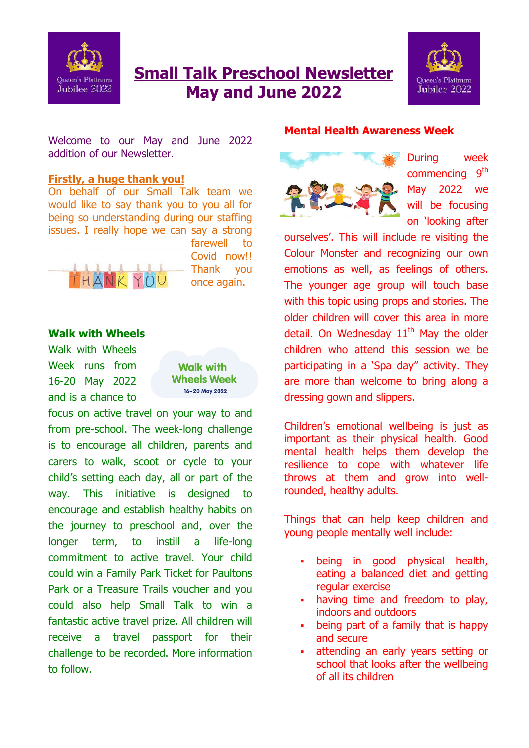

# **Small Talk Preschool Newsletter May and June 2022**



Welcome to our May and June 2022 addition of our Newsletter.

# **Firstly, a huge thank you!**

On behalf of our Small Talk team we would like to say thank you to you all for being so understanding during our staffing issues. I really hope we can say a strong



farewell to Covid now!! Thank you once again.

## **Walk with Wheels**

Walk with Wheels Week runs from 16-20 May 2022 and is a chance to

**Walk with Wheels Week** 16-20 May 2022

focus on active travel on your way to and from pre-school. The week-long challenge is to encourage all children, parents and carers to walk, scoot or cycle to your child's setting each day, all or part of the way. This initiative is designed to encourage and establish healthy habits on the journey to preschool and, over the longer term, to instill a life-long commitment to active travel. Your child could win a Family Park Ticket for Paultons Park or a Treasure Trails voucher and you could also help Small Talk to win a fantastic active travel prize. All children will receive a travel passport for their challenge to be recorded. More information to follow.

#### **Mental Health Awareness Week**



During week commencing 9<sup>th</sup> May 2022 we will be focusing on 'looking after

ourselves'. This will include re visiting the Colour Monster and recognizing our own emotions as well, as feelings of others. The younger age group will touch base with this topic using props and stories. The older children will cover this area in more detail. On Wednesday  $11<sup>th</sup>$  May the older children who attend this session we be participating in a 'Spa day" activity. They are more than welcome to bring along a dressing gown and slippers.

Children's emotional wellbeing is just as important as their physical health. Good mental health helps them develop the resilience to cope with whatever life throws at them and grow into wellrounded, healthy adults.

Things that can help keep children and young people mentally well include:

- being in good physical health, eating a balanced diet and getting regular exercise
- having time and freedom to play, indoors and outdoors
- being part of a family that is happy and secure
- attending an early years setting or school that looks after the wellbeing of all its children